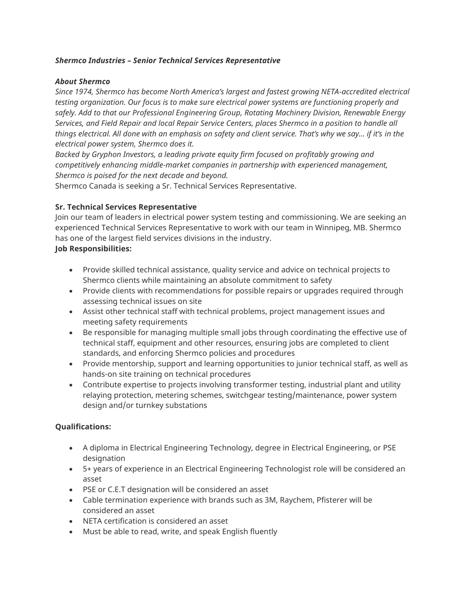#### *Shermco Industries – Senior Technical Services Representative*

#### *About Shermco*

*Since 1974, Shermco has become North America's largest and fastest growing NETA-accredited electrical testing organization. Our focus is to make sure electrical power systems are functioning properly and safely. Add to that our Professional Engineering Group, Rotating Machinery Division, Renewable Energy Services, and Field Repair and local Repair Service Centers, places Shermco in a position to handle all things electrical. All done with an emphasis on safety and client service. That's why we say... if it's in the electrical power system, Shermco does it.*

*Backed by Gryphon Investors, a leading private equity firm focused on profitably growing and competitively enhancing middle-market companies in partnership with experienced management, Shermco is poised for the next decade and beyond.*

Shermco Canada is seeking a Sr. Technical Services Representative.

## **Sr. Technical Services Representative**

Join our team of leaders in electrical power system testing and commissioning. We are seeking an experienced Technical Services Representative to work with our team in Winnipeg, MB. Shermco has one of the largest field services divisions in the industry.

## **Job Responsibilities:**

- Provide skilled technical assistance, quality service and advice on technical projects to Shermco clients while maintaining an absolute commitment to safety
- Provide clients with recommendations for possible repairs or upgrades required through assessing technical issues on site
- Assist other technical staff with technical problems, project management issues and meeting safety requirements
- Be responsible for managing multiple small jobs through coordinating the effective use of technical staff, equipment and other resources, ensuring jobs are completed to client standards, and enforcing Shermco policies and procedures
- Provide mentorship, support and learning opportunities to junior technical staff, as well as hands-on site training on technical procedures
- Contribute expertise to projects involving transformer testing, industrial plant and utility relaying protection, metering schemes, switchgear testing/maintenance, power system design and/or turnkey substations

## **Qualifications:**

- A diploma in Electrical Engineering Technology, degree in Electrical Engineering, or PSE designation
- 5+ years of experience in an Electrical Engineering Technologist role will be considered an asset
- PSE or C.E.T designation will be considered an asset
- Cable termination experience with brands such as 3M, Raychem, Pfisterer will be considered an asset
- NETA certification is considered an asset
- Must be able to read, write, and speak English fluently